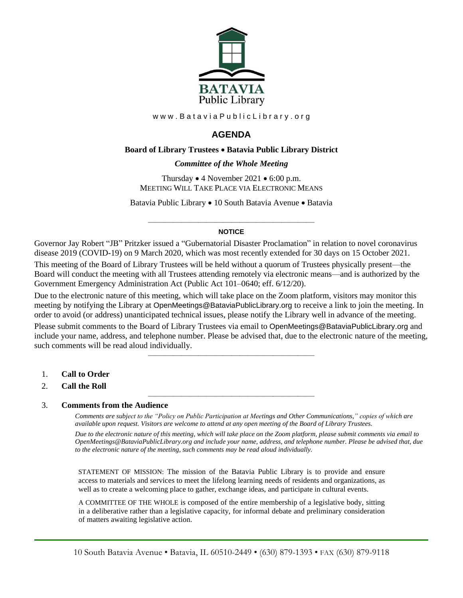

www.BataviaPublicLibrary.org

# **AGENDA**

# **Board of Library Trustees** • **Batavia Public Library District**

# *0BCommittee of the Whole Meeting*

Thursday • 4 November 2021 • 6:00 p.m. MEETING WILL TAKE PLACE VIA ELECTRONIC MEANS

Batavia Public Library • 10 South Batavia Avenue • Batavia

## ———————————————————— **NOTICE**

Governor Jay Robert "JB" Pritzker issued a "Gubernatorial Disaster Proclamation" in relation to novel coronavirus disease 2019 (COVID-19) on 9 March 2020, which was most recently extended for 30 days on 15 October 2021.

This meeting of the Board of Library Trustees will be held without a quorum of Trustees physically present—the Board will conduct the meeting with all Trustees attending remotely via electronic means—and is authorized by the Government Emergency Administration Act (Public Act 101–0640; eff. 6/12/20).

Due to the electronic nature of this meeting, which will take place on the Zoom platform, visitors may monitor this meeting by notifying the Library at OpenMeetings@BataviaPublicLibrary.org to receive a link to join the meeting. In order to avoid (or address) unanticipated technical issues, please notify the Library well in advance of the meeting.

Please submit comments to the Board of Library Trustees via email to OpenMeetings@BataviaPublicLibrary.org and include your name, address, and telephone number. Please be advised that, due to the electronic nature of the meeting, such comments will be read aloud individually.

————————————————————

————————————————————

- 1. **Call to Order**
- 2. **Call the Roll**

#### 3. **Comments from the Audience**

*Comments are subject to the "Policy on Public Participation at Meetings and Other Communications," copies of which are available upon request. Visitors are welcome to attend at any open meeting of the Board of Library Trustees. Due to the electronic nature of this meeting, which will take place on the Zoom platform, please submit comments via email to OpenMeetings@BataviaPublicLibrary.org and include your name, address, and telephone number. Please be advised that, due to the electronic nature of the meeting, such comments may be read aloud individually.*

STATEMENT OF MISSION: The mission of the Batavia Public Library is to provide and ensure access to materials and services to meet the lifelong learning needs of residents and organizations, as well as to create a welcoming place to gather, exchange ideas, and participate in cultural events.

A COMMITTEE OF THE WHOLE is composed of the entire membership of a legislative body, sitting in a deliberative rather than a legislative capacity, for informal debate and preliminary consideration of matters awaiting legislative action.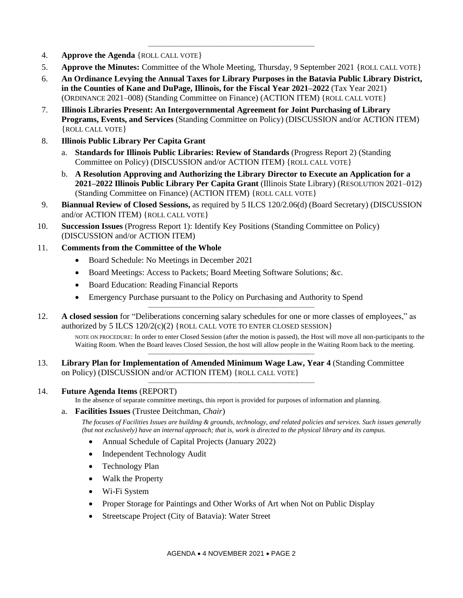- 4. **Approve the Agenda** {ROLL CALL VOTE}
- 5. **Approve the Minutes:** Committee of the Whole Meeting, Thursday, 9 September 2021 {ROLL CALL VOTE}

————————————————————

- 6. **An Ordinance Levying the Annual Taxes for Library Purposes in the Batavia Public Library District, in the Counties of Kane and DuPage, Illinois, for the Fiscal Year 2021–2022** (Tax Year 2021) (ORDINANCE 2021–008) (Standing Committee on Finance) (ACTION ITEM) {ROLL CALL VOTE}
- 7. **Illinois Libraries Present: An Intergovernmental Agreement for Joint Purchasing of Library Programs, Events, and Services** (Standing Committee on Policy) (DISCUSSION and/or ACTION ITEM) {ROLL CALL VOTE}
- 8. **Illinois Public Library Per Capita Grant**
	- a. **Standards for Illinois Public Libraries: Review of Standards** (Progress Report 2) (Standing Committee on Policy) (DISCUSSION and/or ACTION ITEM) {ROLL CALL VOTE}
	- b. **A Resolution Approving and Authorizing the Library Director to Execute an Application for a 2021–2022 Illinois Public Library Per Capita Grant** (Illinois State Library) (RESOLUTION 2021–012) (Standing Committee on Finance) (ACTION ITEM) {ROLL CALL VOTE}
- 9. **Biannual Review of Closed Sessions,** as required by 5 ILCS 120/2.06(d) (Board Secretary) (DISCUSSION and/or ACTION ITEM) {ROLL CALL VOTE}
- 10. **Succession Issues** (Progress Report 1): Identify Key Positions (Standing Committee on Policy) (DISCUSSION and/or ACTION ITEM)
- 11. **Comments from the Committee of the Whole**
	- Board Schedule: No Meetings in December 2021
	- Board Meetings: Access to Packets; Board Meeting Software Solutions; &c.
	- Board Education: Reading Financial Reports
	- Emergency Purchase pursuant to the Policy on Purchasing and Authority to Spend
- 12. **A closed session** for "Deliberations concerning salary schedules for one or more classes of employees," as authorized by 5 ILCS  $120/2(c)(2)$  {ROLL CALL VOTE TO ENTER CLOSED SESSION}

————————————————————

NOTE ON PROCEDURE: In order to enter Closed Session (after the motion is passed), the Host will move all non-participants to the Waiting Room. When the Board leaves Closed Session, the host will allow people in the Waiting Room back to the meeting. ————————————————————

13. **Library Plan for Implementation of Amended Minimum Wage Law, Year 4** (Standing Committee on Policy) (DISCUSSION and/or ACTION ITEM) {ROLL CALL VOTE}

# 14. **Future Agenda Items** (REPORT)

In the absence of separate committee meetings, this report is provided for purposes of information and planning.

————————————————————

a. **Facilities Issues** (Trustee Deitchman, *Chair*)

*The focuses of Facilities Issues are building & grounds, technology, and related policies and services. Such issues generally (but not exclusively) have an internal approach; that is, work is directed to the physical library and its campus.*

- Annual Schedule of Capital Projects (January 2022)
- Independent Technology Audit
- Technology Plan
- Walk the Property
- Wi-Fi System
- Proper Storage for Paintings and Other Works of Art when Not on Public Display
- Streetscape Project (City of Batavia): Water Street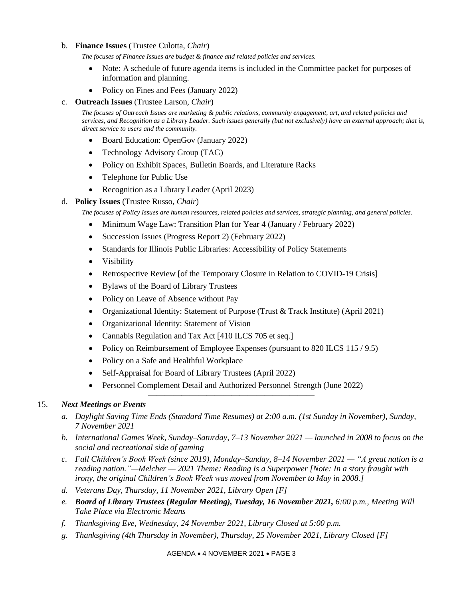## b. **Finance Issues** (Trustee Culotta, *Chair*)

*The focuses of Finance Issues are budget & finance and related policies and services.*

- Note: A schedule of future agenda items is included in the Committee packet for purposes of information and planning.
- Policy on Fines and Fees (January 2022)
- c. **Outreach Issues** (Trustee Larson, *Chair*)

*The focuses of Outreach Issues are marketing & public relations, community engagement, art, and related policies and services, and Recognition as a Library Leader. Such issues generally (but not exclusively) have an external approach; that is, direct service to users and the community.*

- Board Education: OpenGov (January 2022)
- Technology Advisory Group (TAG)
- Policy on Exhibit Spaces, Bulletin Boards, and Literature Racks
- Telephone for Public Use
- Recognition as a Library Leader (April 2023)

## d. **Policy Issues** (Trustee Russo, *Chair*)

*The focuses of Policy Issues are human resources, related policies and services, strategic planning, and general policies.*

- Minimum Wage Law: Transition Plan for Year 4 (January / February 2022)
- Succession Issues (Progress Report 2) (February 2022)
- Standards for Illinois Public Libraries: Accessibility of Policy Statements
- **Visibility**
- Retrospective Review [of the Temporary Closure in Relation to COVID-19 Crisis]
- Bylaws of the Board of Library Trustees
- Policy on Leave of Absence without Pay
- Organizational Identity: Statement of Purpose (Trust & Track Institute) (April 2021)
- Organizational Identity: Statement of Vision
- Cannabis Regulation and Tax Act [410 ILCS 705 et seq.]
- Policy on Reimbursement of Employee Expenses (pursuant to 820 ILCS 115 / 9.5)
- Policy on a Safe and Healthful Workplace
- Self-Appraisal for Board of Library Trustees (April 2022)
- Personnel Complement Detail and Authorized Personnel Strength (June 2022)

————————————————————

#### 15. *Next Meetings or Events*

- *a. Daylight Saving Time Ends (Standard Time Resumes) at 2:00 a.m. (1st Sunday in November), Sunday, 7 November 2021*
- *b. International Games Week, Sunday–Saturday, 7–13 November 2021 — launched in 2008 to focus on the social and recreational side of gaming*
- *c. Fall Children's Book Week (since 2019), Monday–Sunday, 8–14 November 2021 — "A great nation is a reading nation."—Melcher — 2021 Theme: Reading Is a Superpower [Note: In a story fraught with irony, the original Children's Book Week was moved from November to May in 2008.]*
- *d. Veterans Day, Thursday, 11 November 2021, Library Open [F]*
- *e. Board of Library Trustees (Regular Meeting), Tuesday, 16 November 2021, 6:00 p.m., Meeting Will Take Place via Electronic Means*
- *f. Thanksgiving Eve, Wednesday, 24 November 2021, Library Closed at 5:00 p.m.*
- *g. Thanksgiving (4th Thursday in November), Thursday, 25 November 2021, Library Closed [F]*